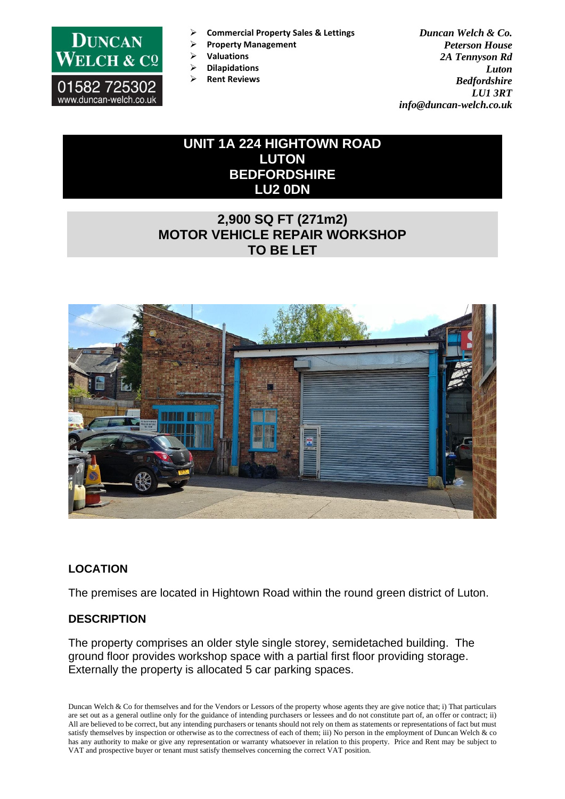

- ➢ **Commercial Property Sales & Lettings**
- ➢ **Property Management**
- ➢ **Valuations**
- ➢ **Dilapidations**
- ➢ **Rent Reviews**

*Duncan Welch & Co. Peterson House 2A Tennyson Rd Luton Bedfordshire LU1 3RT info@duncan-welch.co.uk*

# **UNIT 1A 224 HIGHTOWN ROAD LUTON BEDFORDSHIRE LU2 0DN**

# **2,900 SQ FT (271m2) MOTOR VEHICLE REPAIR WORKSHOP TO BE LET**



# **LOCATION**

The premises are located in Hightown Road within the round green district of Luton.

# **DESCRIPTION**

The property comprises an older style single storey, semidetached building. The ground floor provides workshop space with a partial first floor providing storage. Externally the property is allocated 5 car parking spaces.

Duncan Welch & Co for themselves and for the Vendors or Lessors of the property whose agents they are give notice that; i) That particulars are set out as a general outline only for the guidance of intending purchasers or lessees and do not constitute part of, an offer or contract; ii) All are believed to be correct, but any intending purchasers or tenants should not rely on them as statements or representations of fact but must satisfy themselves by inspection or otherwise as to the correctness of each of them; iii) No person in the employment of Duncan Welch & co has any authority to make or give any representation or warranty whatsoever in relation to this property. Price and Rent may be subject to VAT and prospective buyer or tenant must satisfy themselves concerning the correct VAT position.